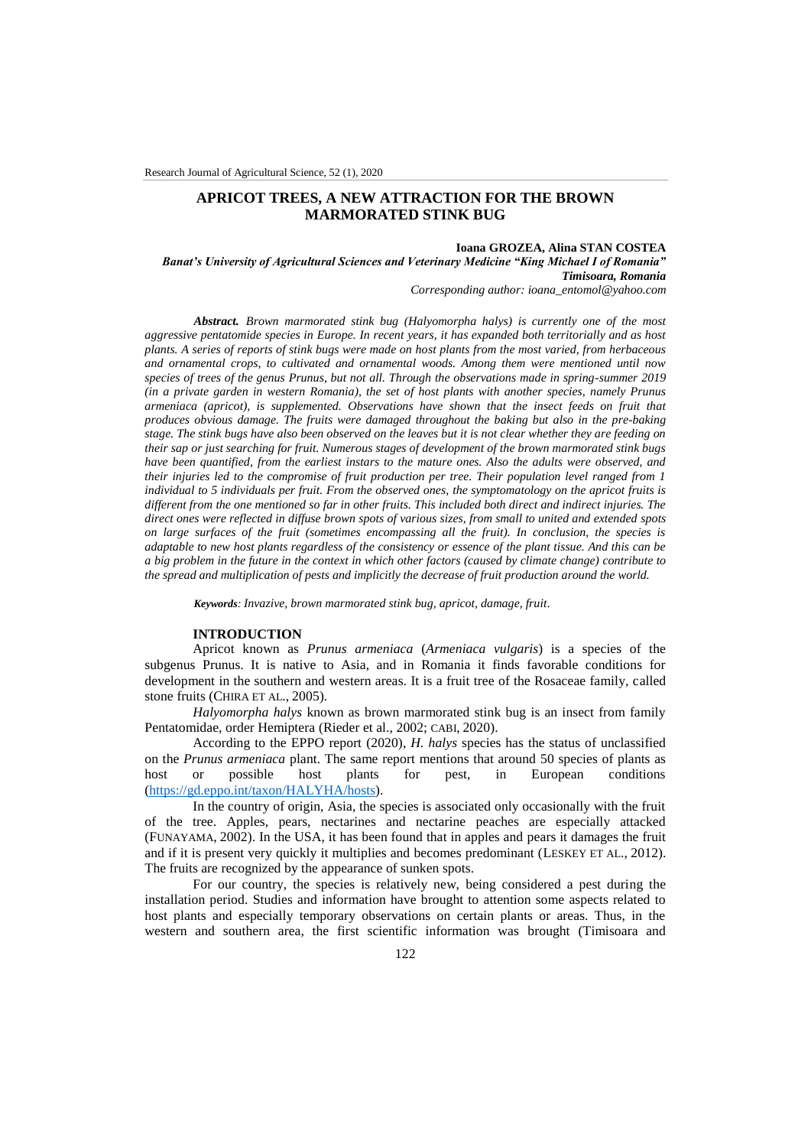# **APRICOT TREES, A NEW ATTRACTION FOR THE BROWN MARMORATED STINK BUG**

## **Ioana GROZEA, Alina STAN COSTEA**

*Banat's University of Agricultural Sciences and Veterinary Medicine "King Michael I of Romania" Timisoara, Romania*

*Corresponding author: ioana\_entomol@yahoo.com*

*Abstract. Brown marmorated stink bug (Halyomorpha halys) is currently one of the most aggressive pentatomide species in Europe. In recent years, it has expanded both territorially and as host plants. A series of reports of stink bugs were made on host plants from the most varied, from herbaceous and ornamental crops, to cultivated and ornamental woods. Among them were mentioned until now species of trees of the genus Prunus, but not all. Through the observations made in spring-summer 2019 (in a private garden in western Romania), the set of host plants with another species, namely Prunus armeniaca (apricot), is supplemented. Observations have shown that the insect feeds on fruit that produces obvious damage. The fruits were damaged throughout the baking but also in the pre-baking stage. The stink bugs have also been observed on the leaves but it is not clear whether they are feeding on their sap or just searching for fruit. Numerous stages of development of the brown marmorated stink bugs have been quantified, from the earliest instars to the mature ones. Also the adults were observed, and their injuries led to the compromise of fruit production per tree. Their population level ranged from 1 individual to 5 individuals per fruit. From the observed ones, the symptomatology on the apricot fruits is different from the one mentioned so far in other fruits. This included both direct and indirect injuries. The direct ones were reflected in diffuse brown spots of various sizes, from small to united and extended spots on large surfaces of the fruit (sometimes encompassing all the fruit). In conclusion, the species is adaptable to new host plants regardless of the consistency or essence of the plant tissue. And this can be a big problem in the future in the context in which other factors (caused by climate change) contribute to the spread and multiplication of pests and implicitly the decrease of fruit production around the world.*

*Keywords: Invazive, brown marmorated stink bug, apricot, damage, fruit.*

### **INTRODUCTION**

Apricot known as *Prunus armeniaca* (*Armeniaca vulgaris*) is a species of the subgenus Prunus. It is native to Asia, and in Romania it finds favorable conditions for development in the southern and western areas. It is a fruit tree of the Rosaceae family, called stone fruits (CHIRA ET AL., 2005).

*Halyomorpha halys* known as brown marmorated stink bug is an insect from family Pentatomidae, order Hemiptera (Rieder et al., 2002; CABI, 2020).

According to the EPPO report (2020), *H. halys* species has the status of unclassified on the *Prunus armeniaca* plant. The same report mentions that around 50 species of plants as host or possible host plants for pest, in European conditions [\(https://gd.eppo.int/taxon/HALYHA/hosts\)](https://gd.eppo.int/taxon/HALYHA/hosts).

In the country of origin, Asia, the species is associated only occasionally with the fruit of the tree. Apples, pears, nectarines and nectarine peaches are especially attacked (FUNAYAMA, 2002). In the USA, it has been found that in apples and pears it damages the fruit and if it is present very quickly it multiplies and becomes predominant (LESKEY ET AL., 2012). The fruits are recognized by the appearance of sunken spots.

For our country, the species is relatively new, being considered a pest during the installation period. Studies and information have brought to attention some aspects related to host plants and especially temporary observations on certain plants or areas. Thus, in the western and southern area, the first scientific information was brought (Timisoara and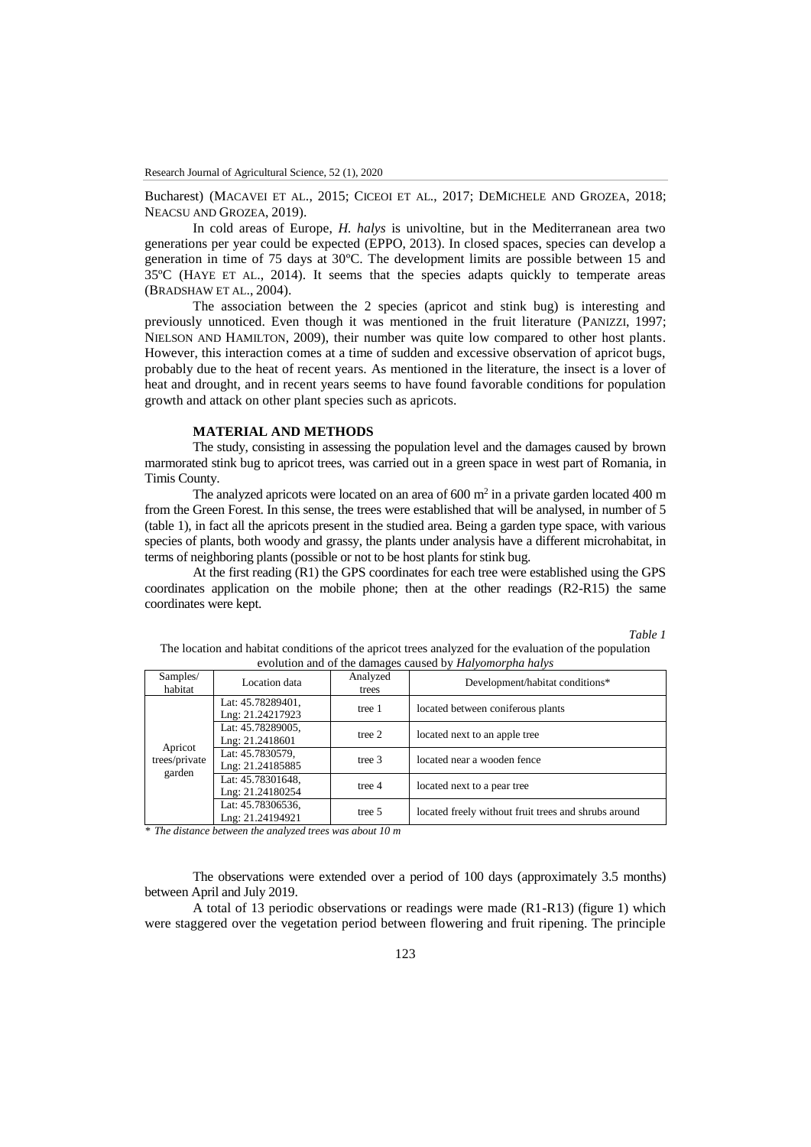Bucharest) (MACAVEI ET AL., 2015; CICEOI ET AL., 2017; DEMICHELE AND GROZEA, 2018; NEACSU AND GROZEA, 2019).

In cold areas of Europe, *H. halys* is univoltine, but in the Mediterranean area two generations per year could be expected (EPPO, 2013). In closed spaces, species can develop a generation in time of 75 days at 30ºC. The development limits are possible between 15 and 35ºC (HAYE ET AL., 2014). It seems that the species adapts quickly to temperate areas (BRADSHAW ET AL., 2004).

The association between the 2 species (apricot and stink bug) is interesting and previously unnoticed. Even though it was mentioned in the fruit literature (PANIZZI, 1997; NIELSON AND HAMILTON, 2009), their number was quite low compared to other host plants. However, this interaction comes at a time of sudden and excessive observation of apricot bugs, probably due to the heat of recent years. As mentioned in the literature, the insect is a lover of heat and drought, and in recent years seems to have found favorable conditions for population growth and attack on other plant species such as apricots.

### **MATERIAL AND METHODS**

The study, consisting in assessing the population level and the damages caused by brown marmorated stink bug to apricot trees, was carried out in a green space in west part of Romania, in Timis County.

The analyzed apricots were located on an area of  $600 \text{ m}^2$  in a private garden located 400 m from the Green Forest. In this sense, the trees were established that will be analysed, in number of 5 (table 1), in fact all the apricots present in the studied area. Being a garden type space, with various species of plants, both woody and grassy, the plants under analysis have a different microhabitat, in terms of neighboring plants (possible or not to be host plants for stink bug.

At the first reading (R1) the GPS coordinates for each tree were established using the GPS coordinates application on the mobile phone; then at the other readings (R2-R15) the same coordinates were kept.

*Table 1*

| The location and habitat conditions of the apricot trees analyzed for the evaluation of the population |
|--------------------------------------------------------------------------------------------------------|
| evolution and of the damages caused by <i>Halvomorpha halvs</i>                                        |

| Samples/<br>habitat                | Location data                         | Analyzed<br>trees | Development/habitat conditions*                      |
|------------------------------------|---------------------------------------|-------------------|------------------------------------------------------|
| Apricot<br>trees/private<br>garden | Lat: 45.78289401,<br>Lng: 21.24217923 | tree 1            | located between coniferous plants                    |
|                                    | Lat: 45.78289005,<br>Lng: 21.2418601  | tree $2$          | located next to an apple tree                        |
|                                    | Lat: 45.7830579,<br>Lng: 21.24185885  | tree 3            | located near a wooden fence                          |
|                                    | Lat: 45.78301648,<br>Lng: 21.24180254 | tree 4            | located next to a pear tree                          |
|                                    | Lat: 45.78306536,<br>Lng: 21.24194921 | tree 5            | located freely without fruit trees and shrubs around |

*\* The distance between the analyzed trees was about 10 m*

The observations were extended over a period of 100 days (approximately 3.5 months) between April and July 2019.

A total of 13 periodic observations or readings were made (R1-R13) (figure 1) which were staggered over the vegetation period between flowering and fruit ripening. The principle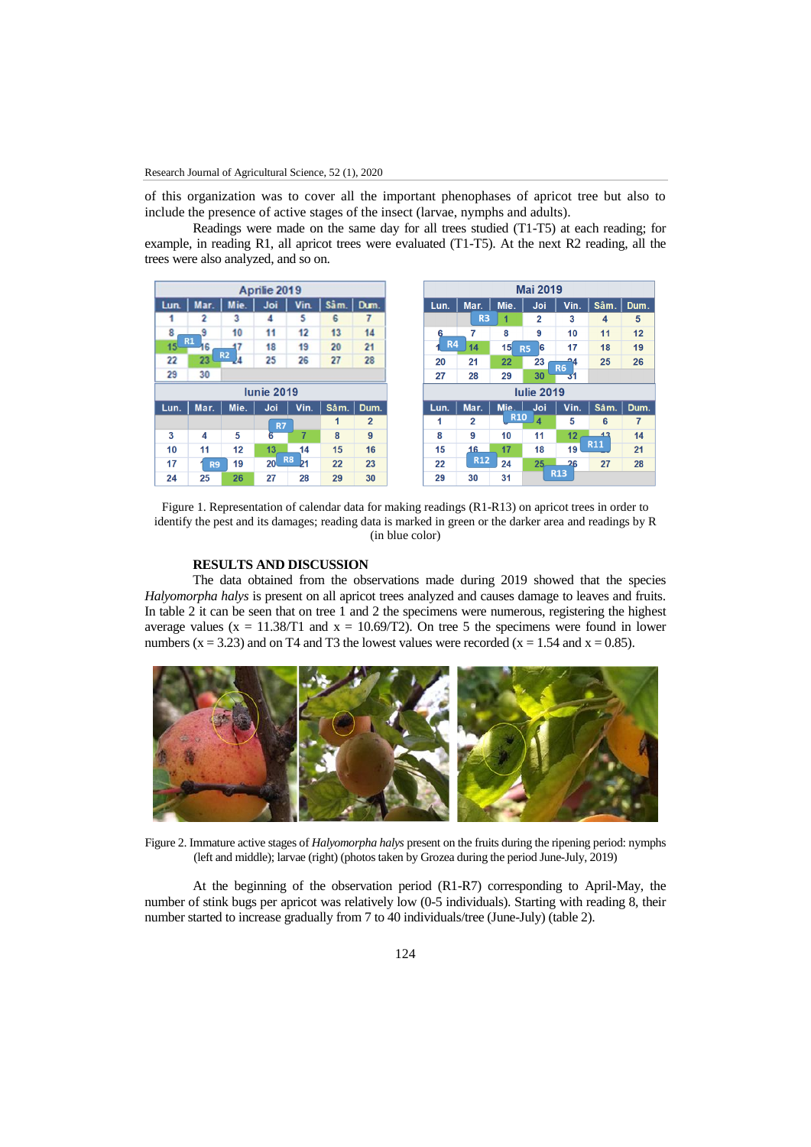of this organization was to cover all the important phenophases of apricot tree but also to include the presence of active stages of the insect (larvae, nymphs and adults).

Readings were made on the same day for all trees studied (T1-T5) at each reading; for example, in reading R1, all apricot trees were evaluated (T1-T5). At the next R2 reading, all the trees were also analyzed, and so on.



Figure 1. Representation of calendar data for making readings (R1-R13) on apricot trees in order to identify the pest and its damages; reading data is marked in green or the darker area and readings by R (in blue color)

## **RESULTS AND DISCUSSION**

The data obtained from the observations made during 2019 showed that the species *Halyomorpha halys* is present on all apricot trees analyzed and causes damage to leaves and fruits. In table 2 it can be seen that on tree 1 and 2 the specimens were numerous, registering the highest average values ( $x = 11.38/T1$  and  $x = 10.69/T2$ ). On tree 5 the specimens were found in lower numbers  $(x = 3.23)$  and on T4 and T3 the lowest values were recorded  $(x = 1.54$  and  $x = 0.85)$ .



Figure 2. Immature active stages of *Halyomorpha halys* present on the fruits during the ripening period: nymphs (left and middle); larvae (right) (photos taken by Grozea during the period June-July, 2019)

At the beginning of the observation period (R1-R7) corresponding to April-May, the number of stink bugs per apricot was relatively low (0-5 individuals). Starting with reading 8, their number started to increase gradually from 7 to 40 individuals/tree (June-July) (table 2).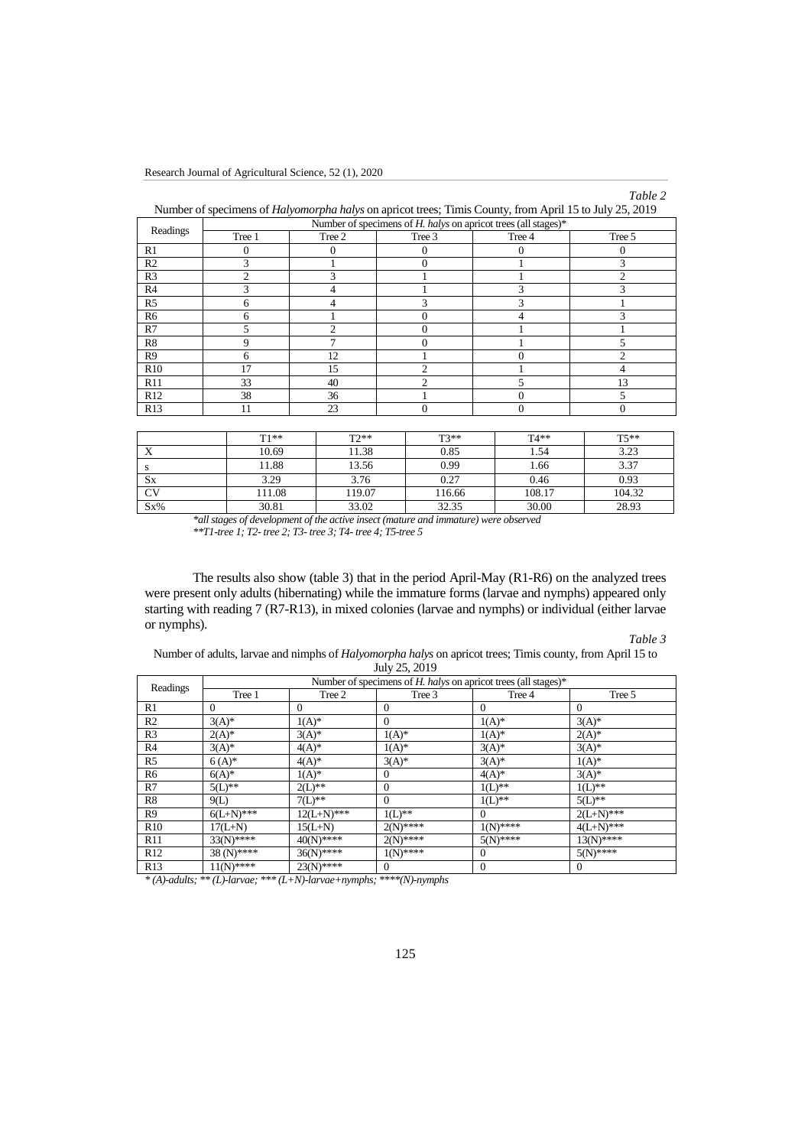Research Journal of Agricultural Science, 52 (1), 2020



| Number of specimens of <i>Halyomorpha halys</i> on apricot trees; Timis County, from April 15 to July 25, 2019 |                                                                |        |                |          |          |  |
|----------------------------------------------------------------------------------------------------------------|----------------------------------------------------------------|--------|----------------|----------|----------|--|
| Readings                                                                                                       | Number of specimens of H, halys on apricot trees (all stages)* |        |                |          |          |  |
|                                                                                                                | Tree 1                                                         | Tree 2 | Tree 3         | Tree 4   | Tree 5   |  |
| R1                                                                                                             |                                                                |        |                | 0        |          |  |
| R <sub>2</sub>                                                                                                 | 3                                                              |        | 0              |          | 3        |  |
| R <sub>3</sub>                                                                                                 | ◠                                                              |        |                |          | C        |  |
| R <sub>4</sub>                                                                                                 |                                                                |        |                |          | 3        |  |
| R <sub>5</sub>                                                                                                 | 6                                                              |        | 3              |          |          |  |
| R <sub>6</sub>                                                                                                 | h                                                              |        | 0              |          | 3        |  |
| R7                                                                                                             |                                                                | ↑      |                |          |          |  |
| R <sub>8</sub>                                                                                                 | Q                                                              | ⇁      | 0              |          | 5        |  |
| R <sub>9</sub>                                                                                                 | 6                                                              | 12     |                | $\Omega$ | ↑        |  |
| R10                                                                                                            | 17                                                             | 15     | $\mathfrak{D}$ |          | 4        |  |
| R11                                                                                                            | 33                                                             | 40     | っ              |          | 13       |  |
| R12                                                                                                            | 38                                                             | 36     |                | 0        | 5        |  |
| R <sub>13</sub>                                                                                                | 11                                                             | 23     | 0              | $\Omega$ | $\Omega$ |  |
|                                                                                                                |                                                                |        |                |          |          |  |

|           | $T1**$ | $T2**$ | $T3**$ | $T4**$ | $T5**$ |
|-----------|--------|--------|--------|--------|--------|
|           | 10.69  | 11.38  | 0.85   | 1.54   | 3.23   |
|           | 11.88  | 13.56  | 0.99   | 1.66   | 3.37   |
| <b>Sx</b> | 3.29   | 3.76   | 0.27   | 0.46   | 0.93   |
| <b>CV</b> | 111.08 | 119.07 | 116.66 | 108.17 | 104.32 |
| $Sx\%$    | 30.81  | 33.02  | 32.35  | 30.00  | 28.93  |

*\*all stages of development of the active insect (mature and immature) were observed \*\*T1-tree 1; T2- tree 2; T3- tree 3; T4- tree 4; T5-tree 5*

The results also show (table 3) that in the period April-May (R1-R6) on the analyzed trees were present only adults (hibernating) while the immature forms (larvae and nymphs) appeared only starting with reading 7 (R7-R13), in mixed colonies (larvae and nymphs) or individual (either larvae or nymphs).

# *Table 3*

Number of adults, larvae and nimphs of *Halyomorpha halys* on apricot trees; Timis county, from April 15 to July 25, 2019

|                | Number of specimens of $H$ . halys on apricot trees (all stages)* |               |                |              |              |  |
|----------------|-------------------------------------------------------------------|---------------|----------------|--------------|--------------|--|
| Readings       | Tree 1                                                            | Tree 2        | Tree 3         | Tree 4       | Tree 5       |  |
| R1             | $\Omega$                                                          | $\Omega$      | $\theta$       | $\Omega$     | $\Omega$     |  |
| R <sub>2</sub> | $3(A)^*$                                                          | $1(A)^*$      | $\overline{0}$ | $1(A)^*$     | $3(A)^*$     |  |
| R3             | $2(A)^*$                                                          | $3(A)^*$      | $1(A)^*$       | $1(A)^*$     | $2(A)^*$     |  |
| R4             | $3(A)^*$                                                          | $4(A)^*$      | $1(A)^*$       | $3(A)^*$     | $3(A)^*$     |  |
| R5             | $6(A)^*$                                                          | $4(A)^*$      | $3(A)^*$       | $3(A)^*$     | $1(A)^*$     |  |
| R6             | $6(A)^*$                                                          | $1(A)^*$      | $\mathbf{0}$   | $4(A)^*$     | $3(A)^*$     |  |
| R7             | $5(L)$ **                                                         | $2(L)$ **     | $\overline{0}$ | $1(L)$ **    | $1(L)$ **    |  |
| R8             | 9(L)                                                              | $7(L)$ **     | $\overline{0}$ | $1(L)$ **    | $5(L)$ **    |  |
| R9             | $6(L+N)$ ***                                                      | $12(L+N)$ *** | $1(L)$ **      | $\Omega$     | $2(L+N)***$  |  |
| R10            | $17(L+N)$                                                         | $15(L+N)$     | $2(N)$ ****    | $1(N)$ ****  | $4(L+N)***$  |  |
| R11            | $33(N)$ ****                                                      | $40(N)$ ****  | $2(N)$ ****    | $5(N)$ ****  | $13(N)$ **** |  |
| R12            | $38(N)$ ****                                                      | $36(N)$ ****  | $1(N)$ ****    | $\Omega$     | $5(N)$ ****  |  |
| R13            | $11(N)$ ****                                                      | $23(N)$ ****  | $\theta$       | $\mathbf{0}$ | $\theta$     |  |

*\* (A)-adults; \*\* (L)-larvae; \*\*\* (L+N)-larvae+nymphs; \*\*\*\*(N)-nymphs*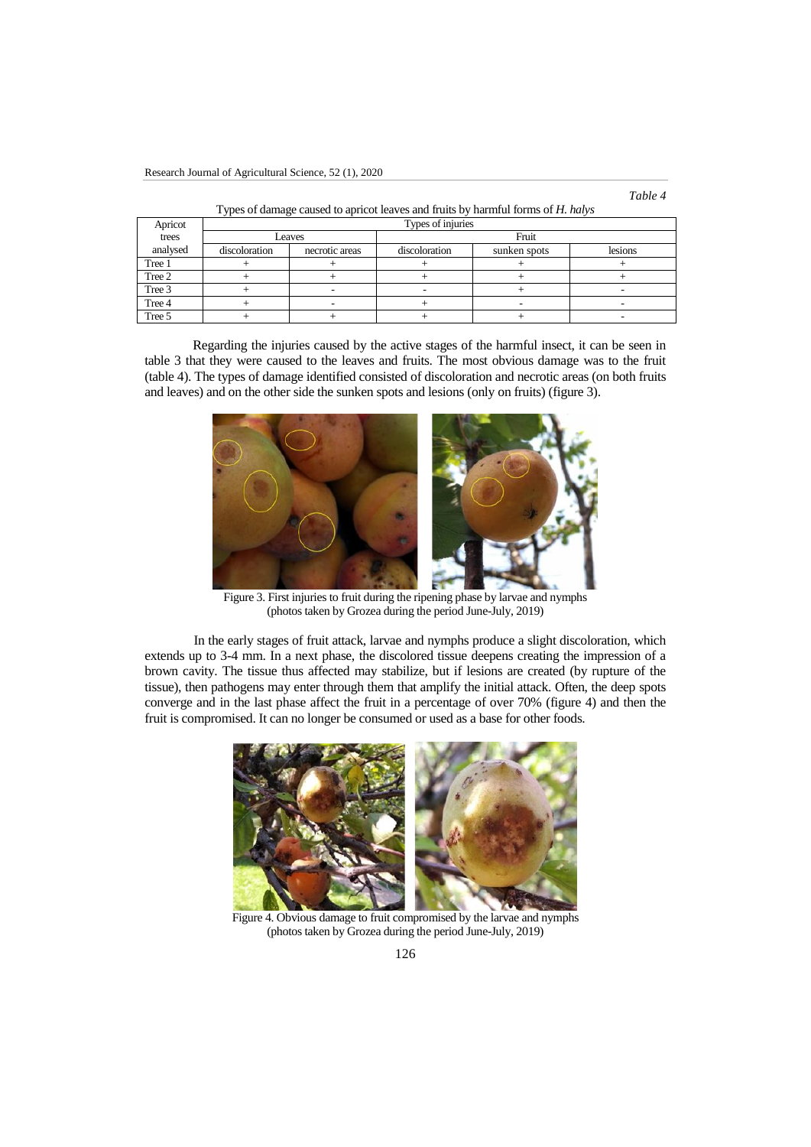| Apricot  | . .<br>Types of injuries |                |               |              |         |  |
|----------|--------------------------|----------------|---------------|--------------|---------|--|
| trees    | Leaves                   |                | Fruit         |              |         |  |
| analysed | discoloration            | necrotic areas | discoloration | sunken spots | lesions |  |
| Tree 1   |                          |                |               |              |         |  |
| Tree 2   |                          |                |               |              |         |  |
| Tree 3   |                          |                |               |              |         |  |
| Tree 4   |                          |                |               | -            |         |  |
| Tree 5   |                          |                |               |              |         |  |

Types of damage caused to apricot leaves and fruits by harmful forms of *H. halys*

Regarding the injuries caused by the active stages of the harmful insect, it can be seen in table 3 that they were caused to the leaves and fruits. The most obvious damage was to the fruit (table 4). The types of damage identified consisted of discoloration and necrotic areas (on both fruits and leaves) and on the other side the sunken spots and lesions (only on fruits) (figure 3).



Figure 3. First injuries to fruit during the ripening phase by larvae and nymphs (photos taken by Grozea during the period June-July, 2019)

In the early stages of fruit attack, larvae and nymphs produce a slight discoloration, which extends up to 3-4 mm. In a next phase, the discolored tissue deepens creating the impression of a brown cavity. The tissue thus affected may stabilize, but if lesions are created (by rupture of the tissue), then pathogens may enter through them that amplify the initial attack. Often, the deep spots converge and in the last phase affect the fruit in a percentage of over 70% (figure 4) and then the fruit is compromised. It can no longer be consumed or used as a base for other foods.



Figure 4. Obvious damage to fruit compromised by the larvae and nymphs (photos taken by Grozea during the period June-July, 2019)